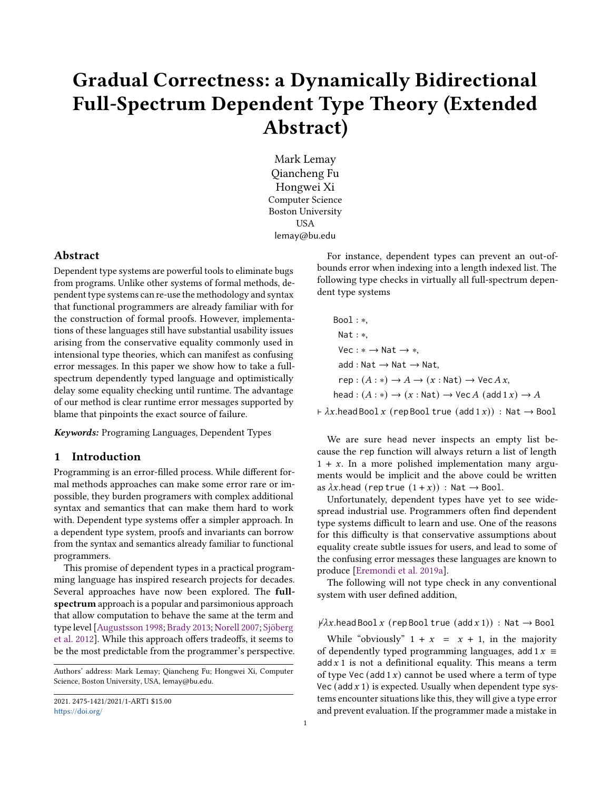# Gradual Correctness: a Dynamically Bidirectional Full-Spectrum Dependent Type Theory (Extended Abstract)

Mark Lemay Qiancheng Fu Hongwei Xi Computer Science Boston University USA lemay@bu.edu

## Abstract

Dependent type systems are powerful tools to eliminate bugs from programs. Unlike other systems of formal methods, dependent type systems can re-use the methodology and syntax that functional programmers are already familiar with for the construction of formal proofs. However, implementations of these languages still have substantial usability issues arising from the conservative equality commonly used in intensional type theories, which can manifest as confusing error messages. In this paper we show how to take a fullspectrum dependently typed language and optimistically delay some equality checking until runtime. The advantage of our method is clear runtime error messages supported by blame that pinpoints the exact source of failure.

Keywords: Programing Languages, Dependent Types

#### 1 Introduction

Programming is an error-filled process. While different formal methods approaches can make some error rare or impossible, they burden programers with complex additional syntax and semantics that can make them hard to work with. Dependent type systems offer a simpler approach. In a dependent type system, proofs and invariants can borrow from the syntax and semantics already familiar to functional programmers.

This promise of dependent types in a practical programming language has inspired research projects for decades. Several approaches have now been explored. The fullspectrum approach is a popular and parsimonious approach that allow computation to behave the same at the term and type level [\[Augustsson](#page-8-0) [1998;](#page-8-0) [Brady](#page-8-1) [2013;](#page-8-1) [Norell](#page-9-0) [2007;](#page-9-0) [Sjöberg](#page-9-1) [et al.](#page-9-1) [2012\]](#page-9-1). While this approach offers tradeoffs, it seems to be the most predictable from the programmer's perspective.

Authors' address: Mark Lemay; Qiancheng Fu; Hongwei Xi, Computer Science, Boston University, USA, lemay@bu.edu.

For instance, dependent types can prevent an out-ofbounds error when indexing into a length indexed list. The following type checks in virtually all full-spectrum dependent type systems

Bool : ∗, Nat : ∗,  $Vec: * \rightarrow Nat \rightarrow *$ ,  $add : Nat \rightarrow Nat \rightarrow Nat$ ,  $rep : (A : *) \rightarrow A \rightarrow (x : Nat) \rightarrow Vec A x,$ head :  $(A : *) \rightarrow (x : Nat) \rightarrow Vec A$  (add  $1 x) \rightarrow A$ 

 $\vdash \lambda x \cdot \text{head } \text{Bool } x \text{ (rep } \text{Bool } \text{true } (\text{add } 1 x)) : \text{Nat } \rightarrow \text{Bool }$ 

We are sure head never inspects an empty list because the rep function will always return a list of length  $1 + x$ . In a more polished implementation many arguments would be implicit and the above could be written as  $\lambda x$ .head (rep true  $(1 + x)$ ) : Nat  $\rightarrow$  Bool.

Unfortunately, dependent types have yet to see widespread industrial use. Programmers often find dependent type systems difficult to learn and use. One of the reasons for this difficulty is that conservative assumptions about equality create subtle issues for users, and lead to some of the confusing error messages these languages are known to produce [\[Eremondi et al.](#page-8-2) [2019a\]](#page-8-2).

The following will not type check in any conventional system with user defined addition,

 $\forall \lambda x.$ head Bool  $x$  (rep Bool true (add  $x$  1)) : Nat  $\rightarrow$  Bool

While "obviously"  $1 + x = x + 1$ , in the majority of dependently typed programming languages, add  $1 x \equiv$ add  $x$  1 is not a definitional equality. This means a term of type Vec (add  $1 x$ ) cannot be used where a term of type Vec (add  $x$  1) is expected. Usually when dependent type systems encounter situations like this, they will give a type error and prevent evaluation. If the programmer made a mistake in

<sup>2021. 2475-1421/2021/1-</sup>ART1 \$15.00 <https://doi.org/>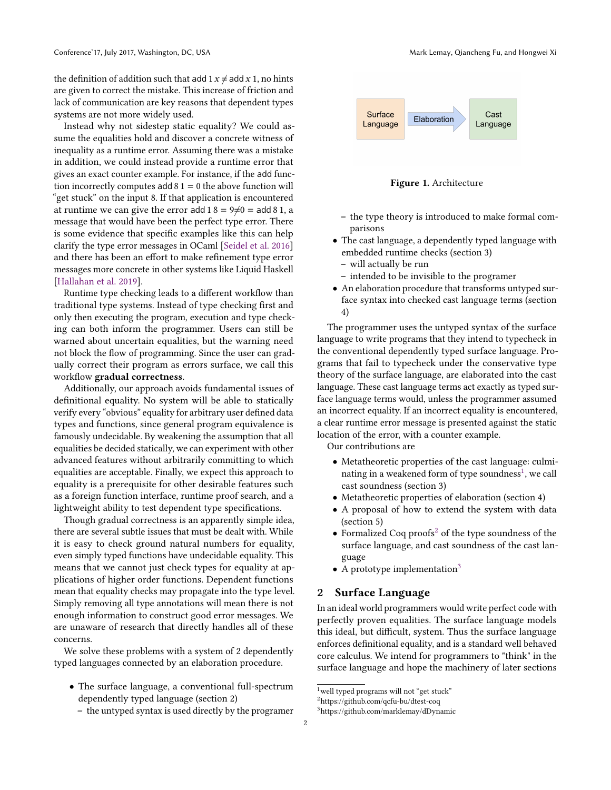the definition of addition such that add 1  $x \neq$  add  $x$  1, no hints are given to correct the mistake. This increase of friction and lack of communication are key reasons that dependent types systems are not more widely used.

Instead why not sidestep static equality? We could assume the equalities hold and discover a concrete witness of inequality as a runtime error. Assuming there was a mistake in addition, we could instead provide a runtime error that gives an exact counter example. For instance, if the add function incorrectly computes add  $81 = 0$  the above function will "get stuck" on the input 8. If that application is encountered at runtime we can give the error add 1 8 = 9 $\neq$ 0 = add 8 1, a message that would have been the perfect type error. There is some evidence that specific examples like this can help clarify the type error messages in OCaml [\[Seidel et al.](#page-9-2) [2016\]](#page-9-2) and there has been an effort to make refinement type error messages more concrete in other systems like Liquid Haskell [\[Hallahan et al.](#page-9-3) [2019\]](#page-9-3).

Runtime type checking leads to a different workflow than traditional type systems. Instead of type checking first and only then executing the program, execution and type checking can both inform the programmer. Users can still be warned about uncertain equalities, but the warning need not block the flow of programming. Since the user can gradually correct their program as errors surface, we call this workflow gradual correctness.

Additionally, our approach avoids fundamental issues of definitional equality. No system will be able to statically verify every "obvious" equality for arbitrary user defined data types and functions, since general program equivalence is famously undecidable. By weakening the assumption that all equalities be decided statically, we can experiment with other advanced features without arbitrarily committing to which equalities are acceptable. Finally, we expect this approach to equality is a prerequisite for other desirable features such as a foreign function interface, runtime proof search, and a lightweight ability to test dependent type specifications.

Though gradual correctness is an apparently simple idea, there are several subtle issues that must be dealt with. While it is easy to check ground natural numbers for equality, even simply typed functions have undecidable equality. This means that we cannot just check types for equality at applications of higher order functions. Dependent functions mean that equality checks may propagate into the type level. Simply removing all type annotations will mean there is not enough information to construct good error messages. We are unaware of research that directly handles all of these concerns.

We solve these problems with a system of 2 dependently typed languages connected by an elaboration procedure.

- The surface language, a conventional full-spectrum dependently typed language (section 2)
	- the untyped syntax is used directly by the programer



Figure 1. Architecture

- the type theory is introduced to make formal comparisons
- The cast language, a dependently typed language with embedded runtime checks (section 3)
	- will actually be run
- intended to be invisible to the programer
- An elaboration procedure that transforms untyped surface syntax into checked cast language terms (section 4)

The programmer uses the untyped syntax of the surface language to write programs that they intend to typecheck in the conventional dependently typed surface language. Programs that fail to typecheck under the conservative type theory of the surface language, are elaborated into the cast language. These cast language terms act exactly as typed surface language terms would, unless the programmer assumed an incorrect equality. If an incorrect equality is encountered, a clear runtime error message is presented against the static location of the error, with a counter example.

Our contributions are

- Metatheoretic properties of the cast language: culminating in a weakened form of type soundness $^1$  $^1$ , we call cast soundness (section 3)
- Metatheoretic properties of elaboration (section 4)
- A proposal of how to extend the system with data (section 5)
- Formalized Coq proofs<sup>[2](#page-1-1)</sup> of the type soundness of the surface language, and cast soundness of the cast language
- A prototype implementation<sup>[3](#page-1-2)</sup>

## 2 Surface Language

In an ideal world programmers would write perfect code with perfectly proven equalities. The surface language models this ideal, but difficult, system. Thus the surface language enforces definitional equality, and is a standard well behaved core calculus. We intend for programmers to "think" in the surface language and hope the machinery of later sections

<span id="page-1-0"></span><sup>&</sup>lt;sup>1</sup>well typed programs will not "get stuck"

<span id="page-1-1"></span><sup>2</sup>https://github.com/qcfu-bu/dtest-coq

<span id="page-1-2"></span><sup>3</sup>https://github.com/marklemay/dDynamic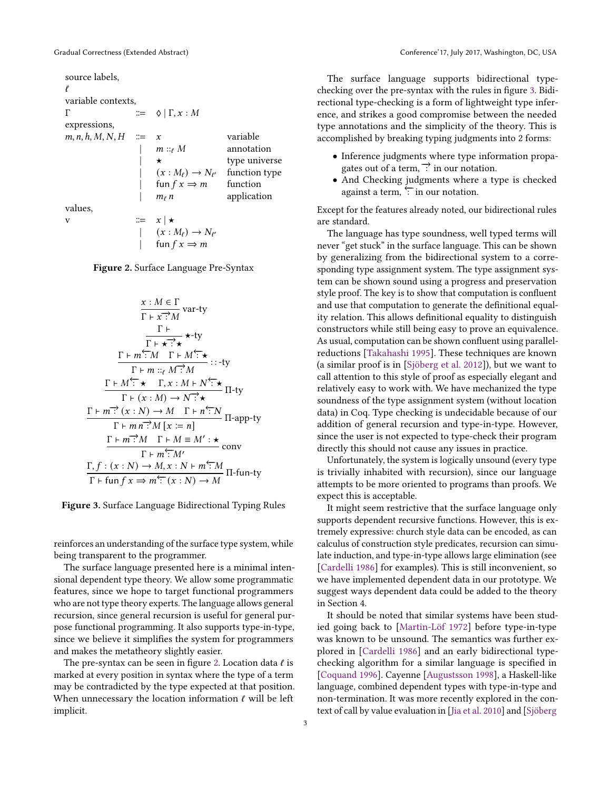<span id="page-2-0"></span>source labels, ℓ variable contexts, Γ  $\therefore$   $\Diamond \mid \Gamma, x : M$ expressions,  $m, n, h, M, N, H \cong x$  variable  $m ::_{\ell} M$  annotation  $\star$  type universe  $(x : M_{\ell}) \rightarrow N_{\ell'}$ function type fun  $f x \Rightarrow m$  function  $m_{\ell}$  *n* application values, v  $\therefore x \mid \star$  $\vert (x : M_{\ell}) \to N_{\ell'}$ fun  $f x \Rightarrow m$ 

Figure 2. Surface Language Pre-Syntax

<span id="page-2-1"></span>
$$
\frac{x : M \in \Gamma}{\Gamma + x : M} \text{ var-ty}
$$
\n
$$
\frac{\Gamma \vdash}{\Gamma + x : A} \star \text{-ty}
$$
\n
$$
\frac{\Gamma \vdash m : M \Gamma \vdash M : \star}{\Gamma \vdash m : a \Gamma \vdash M : A} :: \text{-ty}
$$
\n
$$
\frac{\Gamma \vdash M : A \cdot \Gamma \vdash M : A \cdot \Gamma \vdash M}{\Gamma \vdash (x : M) \to N : A} \Pi \text{-ty}
$$
\n
$$
\frac{\Gamma \vdash m : (x : N) \to M \Gamma \vdash n : N}{\Gamma \vdash m : M \cdot [x := n]} \Pi \text{-app-ty}
$$
\n
$$
\frac{\Gamma \vdash m : M \Gamma \vdash M \equiv M' : \star}{\Gamma \vdash m : M} \text{conv}
$$
\n
$$
\frac{\Gamma, f : (x : N) \to M, x : N \vdash m : M}{\Gamma \vdash (x : N) \to M} \Pi \text{-fun-ty}
$$

Figure 3. Surface Language Bidirectional Typing Rules

reinforces an understanding of the surface type system, while being transparent to the programmer.

The surface language presented here is a minimal intensional dependent type theory. We allow some programmatic features, since we hope to target functional programmers who are not type theory experts. The language allows general recursion, since general recursion is useful for general purpose functional programming. It also supports type-in-type, since we believe it simplifies the system for programmers and makes the metatheory slightly easier.

The pre-syntax can be seen in figure [2.](#page-2-0) Location data  $\ell$  is marked at every position in syntax where the type of a term may be contradicted by the type expected at that position. When unnecessary the location information  $\ell$  will be left implicit.

The surface language supports bidirectional typechecking over the pre-syntax with the rules in figure [3.](#page-2-1) Bidirectional type-checking is a form of lightweight type inference, and strikes a good compromise between the needed type annotations and the simplicity of the theory. This is accomplished by breaking typing judgments into 2 forms:

- Inference judgments where type information propagates out of a term,  $\overrightarrow{?}$  in our notation.
- And Checking judgments where a type is checked against a term, ⊤in our notation.

Except for the features already noted, our bidirectional rules are standard.

The language has type soundness, well typed terms will never "get stuck" in the surface language. This can be shown by generalizing from the bidirectional system to a corresponding type assignment system. The type assignment system can be shown sound using a progress and preservation style proof. The key is to show that computation is confluent and use that computation to generate the definitional equality relation. This allows definitional equality to distinguish constructors while still being easy to prove an equivalence. As usual, computation can be shown confluent using parallelreductions [\[Takahashi](#page-9-4) [1995\]](#page-9-4). These techniques are known (a similar proof is in [\[Sjöberg et al.](#page-9-1) [2012\]](#page-9-1)), but we want to call attention to this style of proof as especially elegant and relatively easy to work with. We have mechanized the type soundness of the type assignment system (without location data) in Coq. Type checking is undecidable because of our addition of general recursion and type-in-type. However, since the user is not expected to type-check their program directly this should not cause any issues in practice.

Unfortunately, the system is logically unsound (every type is trivially inhabited with recursion), since our language attempts to be more oriented to programs than proofs. We expect this is acceptable.

It might seem restrictive that the surface language only supports dependent recursive functions. However, this is extremely expressive: church style data can be encoded, as can calculus of construction style predicates, recursion can simulate induction, and type-in-type allows large elimination (see [\[Cardelli](#page-8-3) [1986\]](#page-8-3) for examples). This is still inconvenient, so we have implemented dependent data in our prototype. We suggest ways dependent data could be added to the theory in Section 4.

It should be noted that similar systems have been studied going back to [\[Martin-Löf](#page-9-5) [1972\]](#page-9-5) before type-in-type was known to be unsound. The semantics was further explored in [\[Cardelli](#page-8-3) [1986\]](#page-8-3) and an early bidirectional typechecking algorithm for a similar language is specified in [\[Coquand](#page-8-4) [1996\]](#page-8-4). Cayenne [\[Augustsson](#page-8-0) [1998\]](#page-8-0), a Haskell-like language, combined dependent types with type-in-type and non-termination. It was more recently explored in the context of call by value evaluation in [\[Jia et al.](#page-9-6) [2010\]](#page-9-6) and [\[Sjöberg](#page-9-1)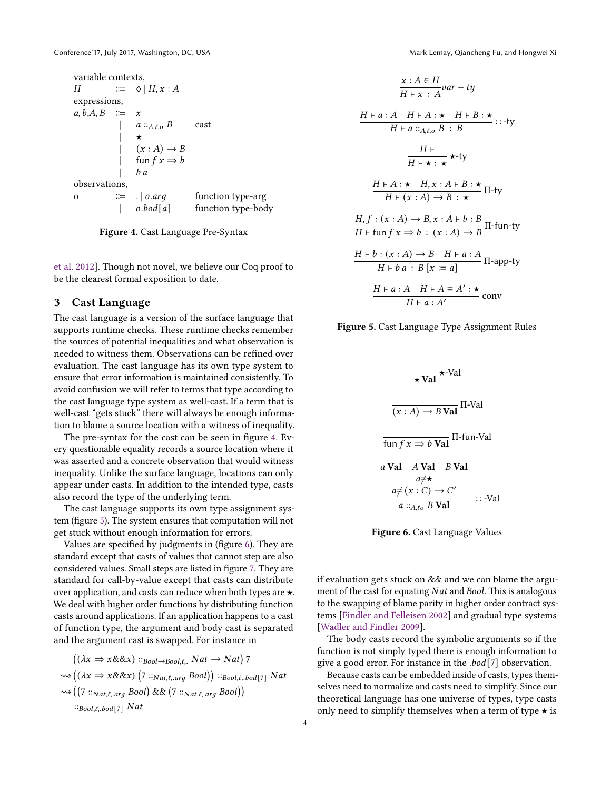```
variable contexts,
H \nightharpoonup \mathbb{R} \Leftrightarrow |H, x : Aexpressions,
a, b, A, B \cong xa ::_{A,\ell,o} B cast
               | ★
                   (x : A) \rightarrow Bfun f x \Rightarrow b\boldsymbol{b} a
observations,
o \equiv . \vert o. arg function type-arg
                   o. <i>bold</i>[<i>a</i>] function type-body
```
Figure 4. Cast Language Pre-Syntax

[et al.](#page-9-1) [2012\]](#page-9-1). Though not novel, we believe our Coq proof to be the clearest formal exposition to date.

## 3 Cast Language

The cast language is a version of the surface language that supports runtime checks. These runtime checks remember the sources of potential inequalities and what observation is needed to witness them. Observations can be refined over evaluation. The cast language has its own type system to ensure that error information is maintained consistently. To avoid confusion we will refer to terms that type according to the cast language type system as well-cast. If a term that is well-cast "gets stuck" there will always be enough information to blame a source location with a witness of inequality.

The pre-syntax for the cast can be seen in figure [4.](#page-3-0) Every questionable equality records a source location where it was asserted and a concrete observation that would witness inequality. Unlike the surface language, locations can only appear under casts. In addition to the intended type, casts also record the type of the underlying term.

The cast language supports its own type assignment system (figure [5\)](#page-3-1). The system ensures that computation will not get stuck without enough information for errors.

Values are specified by judgments in (figure [6\)](#page-3-2). They are standard except that casts of values that cannot step are also considered values. Small steps are listed in figure [7.](#page-4-0) They are standard for call-by-value except that casts can distribute over application, and casts can reduce when both types are ★. We deal with higher order functions by distributing function casts around applications. If an application happens to a cast of function type, the argument and body cast is separated and the argument cast is swapped. For instance in

$$
((\lambda x \Rightarrow x \& \& x) ::_{Bool \rightarrow Bool,\ell,\cdot} Nat \rightarrow Nat) 7
$$
  
\n
$$
\rightsquigarrow ((\lambda x \Rightarrow x \& \& x) (7 ::_{Nat,\ell,\arg} Bool)) ::_{Bool,\ell,\log[\tau]} Nat
$$
  
\n
$$
\rightsquigarrow ((7 ::_{Nat,\ell,\arg} Bool) \& \& (7 ::_{Nat,\ell,\arg} Bool))
$$
  
\n
$$
::_{Bool,\ell,\log[\tau]} Nat
$$

<span id="page-3-1"></span>
$$
\frac{x:A \in H}{H+x:A}var - ty
$$
\n
$$
\frac{H+a:A \quad H+A: \star \quad H+B: \star}{H+a::_{A,\ell,o}B:B}::-ty
$$
\n
$$
\frac{H+}{H+\star: \star} \star\text{-ty}
$$
\n
$$
\frac{H+A: \star \quad H,x:A+B: \star}{H+(x:A) \to B: \star} \Pi\text{-ty}
$$
\n
$$
\frac{H,f:(x:A) \to B,x:A+b:B}{H+\text{fun }f x \to b:(x:A) \to B} \Pi\text{-fun-ty}
$$
\n
$$
\frac{H+b:(x:A) \to B \quad H+a:A}{H+b'a:B[x:=a]} \Pi\text{-app-ty}
$$
\n
$$
\frac{H+a:A \quad H+A \equiv A': \star}{H+a:A'}
$$
conv

<span id="page-3-2"></span>Figure 5. Cast Language Type Assignment Rules

$$
\overline{\star \text{ Val}} \star \text{-Val}
$$
\n
$$
\overline{(x : A) \rightarrow B \text{ Val}} \Pi \text{-Val}
$$
\n
$$
\overline{\text{fun } f x \Rightarrow b \text{ Val}} \Pi \text{-fun-Val}
$$
\n
$$
a \text{ Val} \quad A \text{ Val} \quad B \text{ Val}
$$
\n
$$
a \neq \star
$$
\n
$$
a \neq (x : C) \rightarrow C'
$$
\n
$$
a ::_{A, \text{LO}} B \text{ Val} \quad \cdots \text{-Val}
$$

Figure 6. Cast Language Values

if evaluation gets stuck on && and we can blame the argument of the cast for equating  $Nat$  and  $Bool$ . This is analogous to the swapping of blame parity in higher order contract systems [\[Findler and Felleisen](#page-8-5) [2002\]](#page-8-5) and gradual type systems [\[Wadler and Findler](#page-9-7) [2009\]](#page-9-7).

The body casts record the symbolic arguments so if the function is not simply typed there is enough information to give a good error. For instance in the  $.$ bod $[7]$  observation.

Because casts can be embedded inside of casts, types themselves need to normalize and casts need to simplify. Since our theoretical language has one universe of types, type casts only need to simplify themselves when a term of type  $\star$  is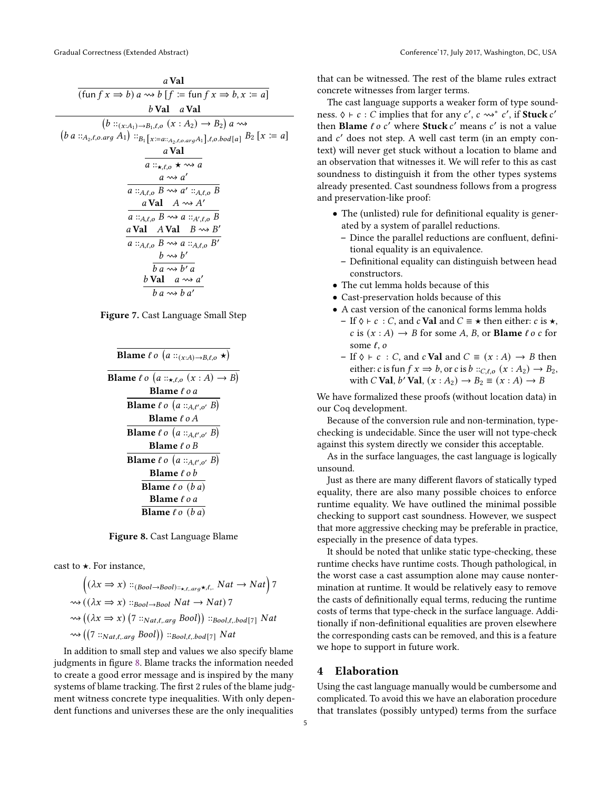<span id="page-4-0"></span>

| a Val                                                                                                            |
|------------------------------------------------------------------------------------------------------------------|
| $(\text{fun } f x \Rightarrow b) a \rightsquigarrow b$ $[f := \text{fun } f x \Rightarrow b, x := a]$            |
| b Val a Val                                                                                                      |
| $(b ::_{(x:A_1) \rightarrow B_1,\ell,o} (x : A_2) \rightarrow B_2) a \rightsquigarrow$                           |
| $(b \ a \ ::_{A_2,\ell,o.\arg} A_1) ::_{B_1[x := a ::_{A_2,\ell,o.\arg} A_1],\ell,o.\text{bool}[a]} B_2[x := a]$ |
| a Val                                                                                                            |
| $a ::_{\star, \ell, o} \star \rightsquigarrow a$                                                                 |
| $a \rightsquigarrow a'$                                                                                          |
| $a ::_{A,\ell,o} B \rightsquigarrow a' ::_{A,\ell,o} B$                                                          |
| a Val $A \rightsquigarrow A'$                                                                                    |
| $a ::_{A,\ell,o} B \rightsquigarrow a ::_{A',\ell,o} B$                                                          |
| a Val $A$ Val $B \rightsquigarrow B'$                                                                            |
| $a ::_{A,\ell,o} B \rightsquigarrow a ::_{A,\ell,o} B'$                                                          |
| $b \rightsquigarrow b'$                                                                                          |
| $b \overline{a} \rightsquigarrow b' \overline{a}$                                                                |
| b Val $a \rightsquigarrow a'$                                                                                    |
| $b \, a \rightsquigarrow b \, a'$                                                                                |

<span id="page-4-1"></span>Figure 7. Cast Language Small Step

| <b>Blame</b> $\ell$ o $(a::(x:A)\rightarrow B,\ell,o\star)$         |  |  |  |  |
|---------------------------------------------------------------------|--|--|--|--|
| <b>Blame</b> $\ell$ o $(a ::_{\star,\ell,o} (x : A) \rightarrow B)$ |  |  |  |  |
| <b>Blame</b> $\ell$ o a                                             |  |  |  |  |
| <b>Blame</b> $\ell$ o $(a ::_{A,\ell',o'} B)$                       |  |  |  |  |
| <b>Blame</b> $\ell$ o $A$                                           |  |  |  |  |
| <b>Blame</b> $\ell$ o $(a ::_{A,\ell',o'} B)$                       |  |  |  |  |
| <b>Blame</b> $\ell$ o B                                             |  |  |  |  |
| <b>Blame</b> $\ell$ o $(a ::_{A,\ell',o'} B)$                       |  |  |  |  |
| <b>Blame</b> $\ell$ o $b$                                           |  |  |  |  |
| <b>Blame</b> $\ell$ $\sigma$ $(ba)$                                 |  |  |  |  |
| Blame $\ell$ o a                                                    |  |  |  |  |
| <b>Blame</b> $\ell$ $o$ $(ba)$                                      |  |  |  |  |

Figure 8. Cast Language Blame

cast to  $\star$ . For instance,

 $((\lambda x \Rightarrow x) ::_{(Bool \rightarrow Bool) ::_{\star, \ell, arg} \star, \ell, \ldots} Nat \rightarrow Nat)$  7  $\rightsquigarrow ((\lambda x \Rightarrow x) ::_{Bool \rightarrow Bool} Nat \rightarrow Nat)$  7  $\rightsquigarrow ((\lambda x \Rightarrow x) (7::_{Nat,\ell, arg} Bool)) ::_{Bool,\ell, body[7]} Nat$  $\rightsquigarrow ((7::_{Nat,\ell, arg} Bool)) ::_{Bool,\ell, body[7]} Nat$ 

In addition to small step and values we also specify blame judgments in figure [8.](#page-4-1) Blame tracks the information needed to create a good error message and is inspired by the many systems of blame tracking. The first 2 rules of the blame judgment witness concrete type inequalities. With only dependent functions and universes these are the only inequalities

that can be witnessed. The rest of the blame rules extract concrete witnesses from larger terms.

The cast language supports a weaker form of type soundness.  $\diamond \vdash c : C$  implies that for any  $c', c \leadsto^* c',$  if Stuck  $c'$ then **Blame**  $\ell$  o  $c'$  where **Stuck**  $c'$  means  $c'$  is not a value and c' does not step. A well cast term (in an empty context) will never get stuck without a location to blame and an observation that witnesses it. We will refer to this as cast soundness to distinguish it from the other types systems already presented. Cast soundness follows from a progress and preservation-like proof:

- The (unlisted) rule for definitional equality is generated by a system of parallel reductions.
	- Dince the parallel reductions are confluent, definitional equality is an equivalence.
	- Definitional equality can distinguish between head constructors.
- The cut lemma holds because of this
- Cast-preservation holds because of this
- A cast version of the canonical forms lemma holds – If  $\Diamond \vdash c : C$ , and  $c$  **Val** and  $C \equiv \star$  then either:  $c$  is  $\star$ , c is  $(x : A) \rightarrow B$  for some A, B, or **Blame**  $\ell$  o c for some  $\ell$ , o
	- If  $\diamond$  ⊢  $c$  :  $C$ , and  $c$  **Val** and  $C \equiv (x : A) \rightarrow B$  then either: c is fun  $f x \Rightarrow b$ , or c is  $b ::_{C,\ell,o} (x : A_2) \rightarrow B_2$ , with C **Val**,  $b'$  **Val**,  $(x : A_2) \rightarrow B_2 \equiv (x : A) \rightarrow B_1$

We have formalized these proofs (without location data) in our Coq development.

Because of the conversion rule and non-termination, typechecking is undecidable. Since the user will not type-check against this system directly we consider this acceptable.

As in the surface languages, the cast language is logically unsound.

Just as there are many different flavors of statically typed equality, there are also many possible choices to enforce runtime equality. We have outlined the minimal possible checking to support cast soundness. However, we suspect that more aggressive checking may be preferable in practice, especially in the presence of data types.

It should be noted that unlike static type-checking, these runtime checks have runtime costs. Though pathological, in the worst case a cast assumption alone may cause nontermination at runtime. It would be relatively easy to remove the casts of definitionally equal terms, reducing the runtime costs of terms that type-check in the surface language. Additionally if non-definitional equalities are proven elsewhere the corresponding casts can be removed, and this is a feature we hope to support in future work.

#### 4 Elaboration

Using the cast language manually would be cumbersome and complicated. To avoid this we have an elaboration procedure that translates (possibly untyped) terms from the surface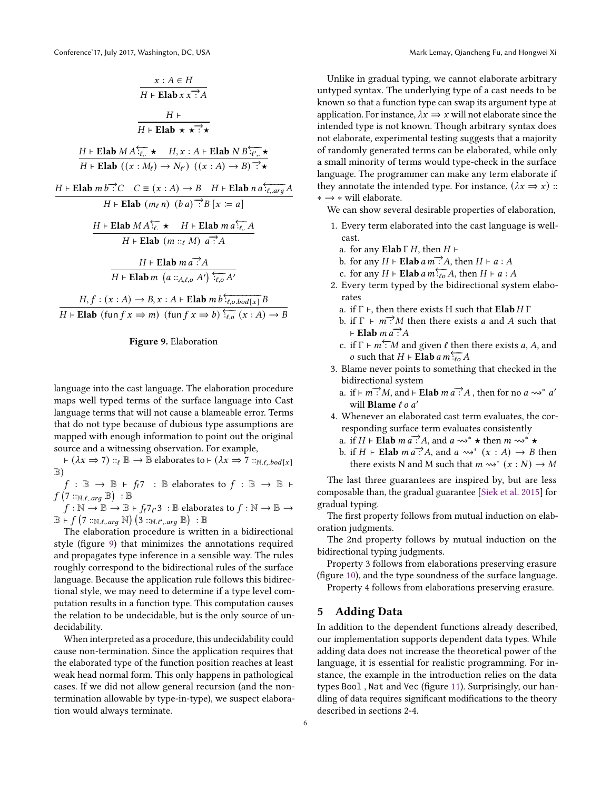<span id="page-5-0"></span>
$$
\frac{x:A \in H}{H + \text{Elab } x x^{-2}A}
$$
\n
$$
\frac{H + \text{Elab } x \times \frac{A}{H + \text{Elab } \star \star \frac{B}{H + \text{Elab } \star \star \frac{C}{H + \text{Elab } \star \star \frac{C}{H + \text{Elab } \star \star \frac{C}{H + \text{Elab } \star \frac{C}{H + \text{Elab } \star \frac{C}{H + \text{Elab } \star \frac{C}{H + \text{Elab } \star \frac{C}{H + \text{Elab } \star \frac{C}{H + \text{Elab } \star \frac{C}{H + \text{Elab } \star \frac{C}{H + \text{Elab } \star \frac{C}{H + \text{Elab } \star \frac{C}{H + \text{Elab } \star \frac{C}{H + \text{Elab } \star \frac{C}{H + \text{Elab } \star \frac{C}{H + \text{Elab } \star \frac{C}{H + \text{Elab } \star \frac{C}{H + \text{Elab } \star \frac{C}{H + \text{Elab } \star \frac{C}{H + \text{Elab } \star \frac{C}{H + \text{Elab } \star \frac{C}{H + \text{Elab } \star \frac{C}{H + \text{Elab } \star \frac{C}{H + \text{Elab } \star \frac{C}{H + \text{Elab } \star \frac{C}{H + \text{Elab } \star \frac{C}{H + \text{Elab } \star \frac{C}{H + \text{Elab } \star \frac{C}{H + \text{Elab } \star \frac{C}{H + \text{Elab } \star \frac{C}{H + \text{Elab } \star \frac{C}{H + \text{Elab } \star \frac{C}{H + \text{Elab } \star \frac{C}{H + \text{Elab } \star \frac{C}{H + \text{Elab } \star \frac{C}{H + \text{Elab } \star \frac{C}{H + \text{Elab } \star \frac{C}{H + \text{Elab } \star \frac{C}{H + \text{Elab } \star \frac{C}{H + \text{Elab } \star \frac{C}{H + \text{Elab } \star \frac{C}{H + \text{Elab } \star \frac{C}{H + \text{Elab } \star \frac{C}{H + \text{Elab } \star \frac{C}{H + \text{Elab } \star \frac{C}{H + \text{Elab } \star \
$$



language into the cast language. The elaboration procedure maps well typed terms of the surface language into Cast language terms that will not cause a blameable error. Terms that do not type because of dubious type assumptions are mapped with enough information to point out the original source and a witnessing observation. For example,

 $\vdash (\lambda x \Rightarrow 7) ::_{\ell} \mathbb{B} \rightarrow \mathbb{B}$  elaborates to  $\vdash (\lambda x \Rightarrow 7 ::_{\mathbb{N}. \ell, \ell} \delta \circ \iota[x])$ B)

 $f : \mathbb{B} \to \mathbb{B} + f_f$ 7 :  $\mathbb{B}$  elaborates to  $f : \mathbb{B} \to \mathbb{B}$  ⊢  $f\left(\overline{7}::_{\mathbb{N}.\ell, .arg} \mathbb{B}\right) : \mathbb{B}$ 

 $f: \mathbb{N} \to \overline{\mathbb{B}} \to \mathbb{B} \vdash f_\ell 7_{\ell'} 3\;:\mathbb{B} \text{ elaborates to } f: \mathbb{N} \to \mathbb{B} \to 0$  $\mathbb{B} \vdash f$   $(7::_{\mathbb{N}.\ell, \text{arg}} \mathbb{N})$   $(3::_{\mathbb{N}.\ell', \text{arg}} \mathbb{B})$  :  $\mathbb{B}$ 

The elaboration procedure is written in a bidirectional style (figure [9\)](#page-5-0) that minimizes the annotations required and propagates type inference in a sensible way. The rules roughly correspond to the bidirectional rules of the surface language. Because the application rule follows this bidirectional style, we may need to determine if a type level computation results in a function type. This computation causes the relation to be undecidable, but is the only source of undecidability.

When interpreted as a procedure, this undecidability could cause non-termination. Since the application requires that the elaborated type of the function position reaches at least weak head normal form. This only happens in pathological cases. If we did not allow general recursion (and the nontermination allowable by type-in-type), we suspect elaboration would always terminate.

Unlike in gradual typing, we cannot elaborate arbitrary untyped syntax. The underlying type of a cast needs to be known so that a function type can swap its argument type at application. For instance,  $\lambda x \Rightarrow x$  will not elaborate since the intended type is not known. Though arbitrary syntax does not elaborate, experimental testing suggests that a majority of randomly generated terms can be elaborated, while only a small minority of terms would type-check in the surface language. The programmer can make any term elaborate if they annotate the intended type. For instance,  $(\lambda x \Rightarrow x)$  :: ∗ → ∗ will elaborate.

We can show several desirable properties of elaboration,

- 1. Every term elaborated into the cast language is wellcast.
	- a. for any **Elab**  $\Gamma$  *H*, then  $H \vdash$
	- b. for any  $H \vdash$  **Elab**  $a m \rightarrow A$ , then  $H \vdash a : A$
	- c. for any  $H \vdash$  **Elab**  $a m :_{a \in A}$ , then  $H \vdash a : A$
- 2. Every term typed by the bidirectional system elaborates
	- a. if  $\Gamma \vdash$ , then there exists H such that **Elab**  $H \Gamma$
	- b. if  $\Gamma \vdash m$ : M then there exists *a* and *A* such that  $⊩$  Elab  $m \overrightarrow{a}$  : A
	- c. if  $\Gamma \vdash m \subset M$  and given  $\ell$  then there exists a, A, and o such that  $H \vdash$  **Elab**  $a m \frac{\overline{a}}{\overline{b}} A$
- 3. Blame never points to something that checked in the bidirectional system
	- a. if  $\vdash m : M$ , and  $\vdash$  **Elab**  $m a : A$ , then for no  $a \leadsto^* a'$ will **Blame**  $\ell$  *o a'*
- 4. Whenever an elaborated cast term evaluates, the corresponding surface term evaluates consistently
	- a. if  $H \vdash$  **Elab**  $m \overrightarrow{a}$ : A, and  $a \rightsquigarrow^* \star$  then  $m \rightsquigarrow^* \star$
	- b. if  $H \vdash$  Elab  $ma^{-1}$ ; and  $a \rightsquigarrow^* (x : A) \rightarrow B$  then there exists N and M such that  $m \rightsquigarrow^* (x : N) \rightarrow M$

The last three guarantees are inspired by, but are less composable than, the gradual guarantee [\[Siek et al.](#page-9-8) [2015\]](#page-9-8) for gradual typing.

The first property follows from mutual induction on elaboration judgments.

The 2nd property follows by mutual induction on the bidirectional typing judgments.

Property 3 follows from elaborations preserving erasure (figure [10\)](#page-6-0), and the type soundness of the surface language.

Property 4 follows from elaborations preserving erasure.

#### 5 Adding Data

In addition to the dependent functions already described, our implementation supports dependent data types. While adding data does not increase the theoretical power of the language, it is essential for realistic programming. For instance, the example in the introduction relies on the data types Bool , Nat and Vec (figure [11\)](#page-6-1). Surprisingly, our handling of data requires significant modifications to the theory described in sections 2-4.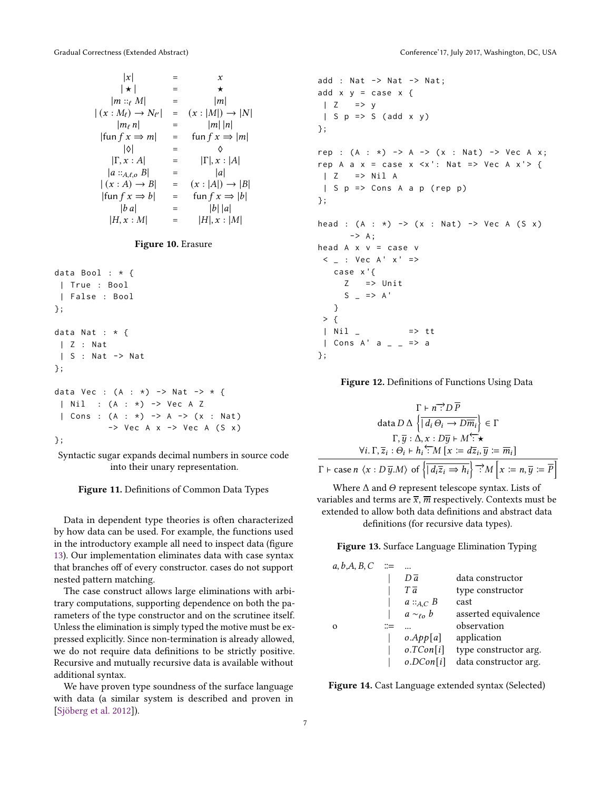<span id="page-6-0"></span>
$$
|x| = x
$$
  
\n
$$
|m ::_{\ell} M| = |m|
$$
  
\n
$$
|(x : M_{\ell}) \rightarrow N_{\ell'}| = (x : |M|) \rightarrow |N|
$$
  
\n
$$
|m_{\ell} n| = |m| |n|
$$
  
\n
$$
|fun f x \Rightarrow m| = \text{fun } f x \Rightarrow |m|
$$
  
\n
$$
|0| = \Diamond
$$
  
\n
$$
|\Gamma, x : A| = |\Gamma|, x : |A|
$$
  
\n
$$
|a ::_{A,\ell,0} B| = |a|
$$
  
\n
$$
|(x : A) \rightarrow B| = (x : |A|) \rightarrow |B|
$$
  
\n
$$
|fun f x \Rightarrow b| = \text{fun } f x \Rightarrow |b|
$$
  
\n
$$
|b|a| = |b| |a|
$$
  
\n
$$
|H, x : M| = |H|, x : |M|
$$

#### Figure 10. Erasure

```
data Bool : * {
| True : Bool
 | False : Bool
};
data Nat : * {
| Z : Nat
 | S : Nat -> Nat
};
data Vec : (A : * ) -> Nat -> * {
| Nil : (A : *) -> Vec A Z
 | Cons : (A : *) -> A -> (x : Nat)\rightarrow Vec A x \rightarrow Vec A (S x)
};
```
Syntactic sugar expands decimal numbers in source code into their unary representation.

#### Figure 11. Definitions of Common Data Types

Data in dependent type theories is often characterized by how data can be used. For example, the functions used in the introductory example all need to inspect data (figure [13\)](#page-6-2). Our implementation eliminates data with case syntax that branches off of every constructor. cases do not support nested pattern matching.

The case construct allows large eliminations with arbitrary computations, supporting dependence on both the parameters of the type constructor and on the scrutinee itself. Unless the elimination is simply typed the motive must be expressed explicitly. Since non-termination is already allowed, we do not require data definitions to be strictly positive. Recursive and mutually recursive data is available without additional syntax.

We have proven type soundness of the surface language with data (a similar system is described and proven in [\[Sjöberg et al.](#page-9-1) [2012\]](#page-9-1)).

```
add : Nat -> Nat -> Nat;add x y = case x {
| Z = > y| S p \Rightarrow S (add x y)};
rep : (A : * ) \rightarrow A \rightarrow (x : Nat) \rightarrow Vec A x;rep A a x = \text{case } x < x': Nat => Vec A x' > {
| Z = > Nil A| S p \Rightarrow Cons A a p (rep p)
};
head : (A : *) -> (x : Nat) -> Vec A (S x)\rightarrow A;
head A \times V = \text{case } V< \perp : Vec A' x' =>
   case x '{
     Z => Unit
      S = \Rightarrow A'}
 > {
 | Nil = \qquad \Rightarrow tt
 | Cons A' a = = > a
};
```
Figure 12. Definitions of Functions Using Data

<span id="page-6-2"></span>
$$
\Gamma \vdash n \stackrel{\rightharpoonup}{\cdot} D \stackrel{\rightharpoonup}{P}
$$
\n
$$
\text{data } D \Delta \left\{ \left| \overline{d_i \Theta_i} \to D \overline{m_i} \right| \right\} \in \Gamma
$$
\n
$$
\Gamma, \overline{y} : \Delta, x : D \overline{y} \vdash M \stackrel{\rightharpoonup}{\cdot} \star
$$
\n
$$
\forall i. \Gamma, \overline{z}_i : \Theta_i \vdash h_i \stackrel{\rightharpoonup}{\cdot} M \left[ x := d \overline{z}_i, \overline{y} := \overline{m}_i \right]
$$
\n
$$
\Gamma \vdash \text{case } n \langle x : D \overline{y}.M \rangle \text{ of } \left\{ \left| \overline{d_i z_i \Rightarrow h_i} \right| \stackrel{\rightharpoonup}{\cdot} M \left| x := n, \overline{y} := \overline{P} \right| \right\}
$$

Where  $\Delta$  and  $\Theta$  represent telescope syntax. Lists of variables and terms are  $\bar{x}$ ,  $\bar{m}$  respectively. Contexts must be extended to allow both data definitions and abstract data definitions (for recursive data types).

Figure 13. Surface Language Elimination Typing

<span id="page-6-3"></span>

| a, b, A, B, C |                     |                       |
|---------------|---------------------|-----------------------|
|               | $D\bar{a}$          | data constructor      |
|               | $T\bar{a}$          | type constructor      |
|               | $a ::_{A,C} B$      | cast                  |
|               | $a \sim_{\ell o} b$ | asserted equivalence  |
| $\Omega$      |                     | observation           |
|               | o.App[a]            | application           |
|               | o.TCon[i]           | type constructor arg. |
|               | o. DCon[i]          | data constructor arg. |

Figure 14. Cast Language extended syntax (Selected)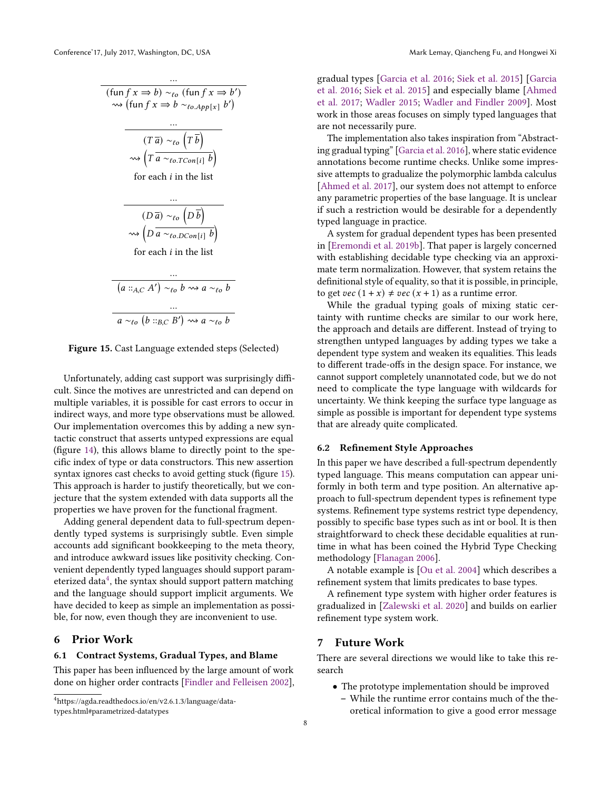<span id="page-7-0"></span>...  $(\text{fun } f x \Rightarrow b) \sim_{\ell o} (\text{fun } f x \Rightarrow b')$  $\rightsquigarrow$  (fun  $f x \Rightarrow b \sim_{\ell o. App[x]} b'$ ) ...  $(T\overline{a}) \sim_{\ell o} (T\overline{b})$  $\rightsquigarrow$   $\left(T\overline{a\sim_{\ell o. TCon[i]}b}\right)$ for each  $i$  in the list ...  $(D\overline{a}) \sim_{\ell o} \left(D\overline{b}\right)$  $\rightsquigarrow$   $\left(D \overline{a \sim_{\ell o. DCon[i]} b}\right)$ for each  $i$  in the list ...  $(a ::_{A,C} A') \sim_{\ell o} b \rightsquigarrow a \sim_{\ell o} b$ ...  $a \sim_{\ell_o} (b ::_{B,C} B') \rightsquigarrow a \sim_{\ell_o} b$ 

Figure 15. Cast Language extended steps (Selected)

Unfortunately, adding cast support was surprisingly difficult. Since the motives are unrestricted and can depend on multiple variables, it is possible for cast errors to occur in indirect ways, and more type observations must be allowed. Our implementation overcomes this by adding a new syntactic construct that asserts untyped expressions are equal (figure [14\)](#page-6-3), this allows blame to directly point to the specific index of type or data constructors. This new assertion syntax ignores cast checks to avoid getting stuck (figure [15\)](#page-7-0). This approach is harder to justify theoretically, but we conjecture that the system extended with data supports all the properties we have proven for the functional fragment.

Adding general dependent data to full-spectrum dependently typed systems is surprisingly subtle. Even simple accounts add significant bookkeeping to the meta theory, and introduce awkward issues like positivity checking. Convenient dependently typed languages should support parameterized data $^4$  $^4$ , the syntax should support pattern matching and the language should support implicit arguments. We have decided to keep as simple an implementation as possible, for now, even though they are inconvenient to use.

## 6 Prior Work

#### 6.1 Contract Systems, Gradual Types, and Blame

This paper has been influenced by the large amount of work done on higher order contracts [\[Findler and Felleisen](#page-8-5) [2002\]](#page-8-5),

<span id="page-7-1"></span><sup>4</sup>https://agda.readthedocs.io/en/v2.6.1.3/language/datatypes.html#parametrized-datatypes

gradual types [\[Garcia et al.](#page-8-6) [2016;](#page-8-6) [Siek et al.](#page-9-8) [2015\]](#page-9-8) [\[Garcia](#page-8-6) [et al.](#page-8-6) [2016;](#page-8-6) [Siek et al.](#page-9-8) [2015\]](#page-9-8) and especially blame [\[Ahmed](#page-8-7) [et al.](#page-8-7) [2017;](#page-8-7) [Wadler](#page-9-9) [2015;](#page-9-9) [Wadler and Findler](#page-9-7) [2009\]](#page-9-7). Most work in those areas focuses on simply typed languages that are not necessarily pure.

The implementation also takes inspiration from "Abstracting gradual typing" [\[Garcia et al.](#page-8-6) [2016\]](#page-8-6), where static evidence annotations become runtime checks. Unlike some impressive attempts to gradualize the polymorphic lambda calculus [\[Ahmed et al.](#page-8-7) [2017\]](#page-8-7), our system does not attempt to enforce any parametric properties of the base language. It is unclear if such a restriction would be desirable for a dependently typed language in practice.

A system for gradual dependent types has been presented in [\[Eremondi et al.](#page-8-8) [2019b\]](#page-8-8). That paper is largely concerned with establishing decidable type checking via an approximate term normalization. However, that system retains the definitional style of equality, so that it is possible, in principle, to get  $vec(1 + x) \neq vec(x + 1)$  as a runtime error.

While the gradual typing goals of mixing static certainty with runtime checks are similar to our work here, the approach and details are different. Instead of trying to strengthen untyped languages by adding types we take a dependent type system and weaken its equalities. This leads to different trade-offs in the design space. For instance, we cannot support completely unannotated code, but we do not need to complicate the type language with wildcards for uncertainty. We think keeping the surface type language as simple as possible is important for dependent type systems that are already quite complicated.

#### 6.2 Refinement Style Approaches

In this paper we have described a full-spectrum dependently typed language. This means computation can appear uniformly in both term and type position. An alternative approach to full-spectrum dependent types is refinement type systems. Refinement type systems restrict type dependency, possibly to specific base types such as int or bool. It is then straightforward to check these decidable equalities at runtime in what has been coined the Hybrid Type Checking methodology [\[Flanagan](#page-8-9) [2006\]](#page-8-9).

A notable example is [\[Ou et al.](#page-9-10) [2004\]](#page-9-10) which describes a refinement system that limits predicates to base types.

A refinement type system with higher order features is gradualized in [\[Zalewski et al.](#page-9-11) [2020\]](#page-9-11) and builds on earlier refinement type system work.

#### 7 Future Work

There are several directions we would like to take this research

- The prototype implementation should be improved
	- While the runtime error contains much of the theoretical information to give a good error message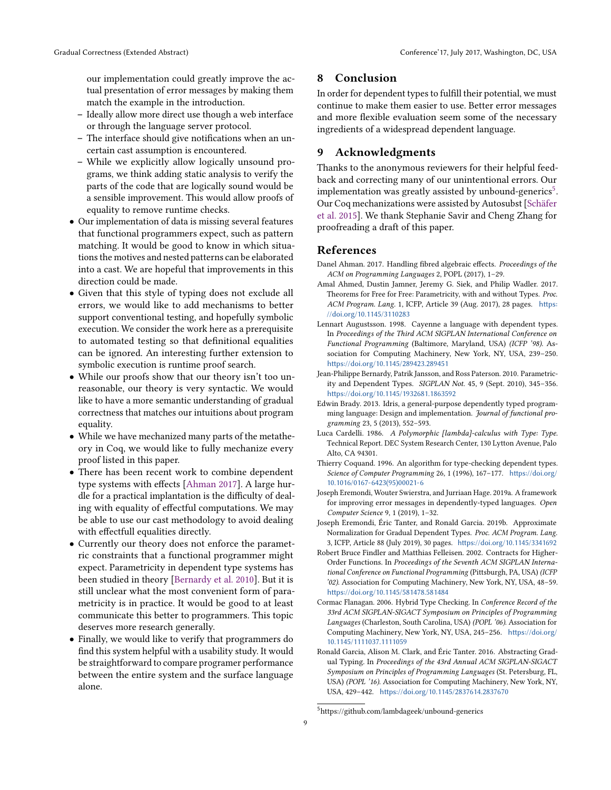our implementation could greatly improve the actual presentation of error messages by making them match the example in the introduction.

- Ideally allow more direct use though a web interface or through the language server protocol.
- The interface should give notifications when an uncertain cast assumption is encountered.
- While we explicitly allow logically unsound programs, we think adding static analysis to verify the parts of the code that are logically sound would be a sensible improvement. This would allow proofs of equality to remove runtime checks.
- Our implementation of data is missing several features that functional programmers expect, such as pattern matching. It would be good to know in which situations the motives and nested patterns can be elaborated into a cast. We are hopeful that improvements in this direction could be made.
- Given that this style of typing does not exclude all errors, we would like to add mechanisms to better support conventional testing, and hopefully symbolic execution. We consider the work here as a prerequisite to automated testing so that definitional equalities can be ignored. An interesting further extension to symbolic execution is runtime proof search.
- While our proofs show that our theory isn't too unreasonable, our theory is very syntactic. We would like to have a more semantic understanding of gradual correctness that matches our intuitions about program equality.
- While we have mechanized many parts of the metatheory in Coq, we would like to fully mechanize every proof listed in this paper.
- There has been recent work to combine dependent type systems with effects [\[Ahman](#page-8-10) [2017\]](#page-8-10). A large hurdle for a practical implantation is the difficulty of dealing with equality of effectful computations. We may be able to use our cast methodology to avoid dealing with effectfull equalities directly.
- Currently our theory does not enforce the parametric constraints that a functional programmer might expect. Parametricity in dependent type systems has been studied in theory [\[Bernardy et al.](#page-8-11) [2010\]](#page-8-11). But it is still unclear what the most convenient form of parametricity is in practice. It would be good to at least communicate this better to programmers. This topic deserves more research generally.
- Finally, we would like to verify that programmers do find this system helpful with a usability study. It would be straightforward to compare programer performance between the entire system and the surface language alone.

# 8 Conclusion

In order for dependent types to fulfill their potential, we must continue to make them easier to use. Better error messages and more flexible evaluation seem some of the necessary ingredients of a widespread dependent language.

## 9 Acknowledgments

Thanks to the anonymous reviewers for their helpful feedback and correcting many of our unintentional errors. Our implementation was greatly assisted by unbound-generics<sup>[5](#page-8-12)</sup>. Our Coq mechanizations were assisted by Autosubst [\[Schäfer](#page-9-12) [et al.](#page-9-12) [2015\]](#page-9-12). We thank Stephanie Savir and Cheng Zhang for proofreading a draft of this paper.

#### References

- <span id="page-8-10"></span>Danel Ahman. 2017. Handling fibred algebraic effects. Proceedings of the ACM on Programming Languages 2, POPL (2017), 1–29.
- <span id="page-8-7"></span>Amal Ahmed, Dustin Jamner, Jeremy G. Siek, and Philip Wadler. 2017. Theorems for Free for Free: Parametricity, with and without Types. Proc. ACM Program. Lang. 1, ICFP, Article 39 (Aug. 2017), 28 pages. [https:](https://doi.org/10.1145/3110283) [//doi.org/10.1145/3110283](https://doi.org/10.1145/3110283)
- <span id="page-8-0"></span>Lennart Augustsson. 1998. Cayenne a language with dependent types. In Proceedings of the Third ACM SIGPLAN International Conference on Functional Programming (Baltimore, Maryland, USA) (ICFP '98). Association for Computing Machinery, New York, NY, USA, 239–250. <https://doi.org/10.1145/289423.289451>
- <span id="page-8-11"></span>Jean-Philippe Bernardy, Patrik Jansson, and Ross Paterson. 2010. Parametricity and Dependent Types. SIGPLAN Not. 45, 9 (Sept. 2010), 345–356. <https://doi.org/10.1145/1932681.1863592>
- <span id="page-8-1"></span>Edwin Brady. 2013. Idris, a general-purpose dependently typed programming language: Design and implementation. Journal of functional programming 23, 5 (2013), 552–593.
- <span id="page-8-3"></span>Luca Cardelli. 1986. A Polymorphic [lambda]-calculus with Type: Type. Technical Report. DEC System Research Center, 130 Lytton Avenue, Palo Alto, CA 94301.
- <span id="page-8-4"></span>Thierry Coquand. 1996. An algorithm for type-checking dependent types. Science of Computer Programming 26, 1 (1996), 167–177. [https://doi.org/](https://doi.org/10.1016/0167-6423(95)00021-6) [10.1016/0167-6423\(95\)00021-6](https://doi.org/10.1016/0167-6423(95)00021-6)
- <span id="page-8-2"></span>Joseph Eremondi, Wouter Swierstra, and Jurriaan Hage. 2019a. A framework for improving error messages in dependently-typed languages. Open Computer Science 9, 1 (2019), 1–32.
- <span id="page-8-8"></span>Joseph Eremondi, Éric Tanter, and Ronald Garcia. 2019b. Approximate Normalization for Gradual Dependent Types. Proc. ACM Program. Lang. 3, ICFP, Article 88 (July 2019), 30 pages. <https://doi.org/10.1145/3341692>
- <span id="page-8-5"></span>Robert Bruce Findler and Matthias Felleisen. 2002. Contracts for Higher-Order Functions. In Proceedings of the Seventh ACM SIGPLAN International Conference on Functional Programming (Pittsburgh, PA, USA) (ICFP '02). Association for Computing Machinery, New York, NY, USA, 48–59. <https://doi.org/10.1145/581478.581484>
- <span id="page-8-9"></span>Cormac Flanagan. 2006. Hybrid Type Checking. In Conference Record of the 33rd ACM SIGPLAN-SIGACT Symposium on Principles of Programming Languages (Charleston, South Carolina, USA) (POPL '06). Association for Computing Machinery, New York, NY, USA, 245–256. [https://doi.org/](https://doi.org/10.1145/1111037.1111059) [10.1145/1111037.1111059](https://doi.org/10.1145/1111037.1111059)
- <span id="page-8-6"></span>Ronald Garcia, Alison M. Clark, and Éric Tanter. 2016. Abstracting Gradual Typing. In Proceedings of the 43rd Annual ACM SIGPLAN-SIGACT Symposium on Principles of Programming Languages (St. Petersburg, FL, USA) (POPL '16). Association for Computing Machinery, New York, NY, USA, 429–442. <https://doi.org/10.1145/2837614.2837670>

<span id="page-8-12"></span> $5$ https://github.com/lambdageek/unbound-generics